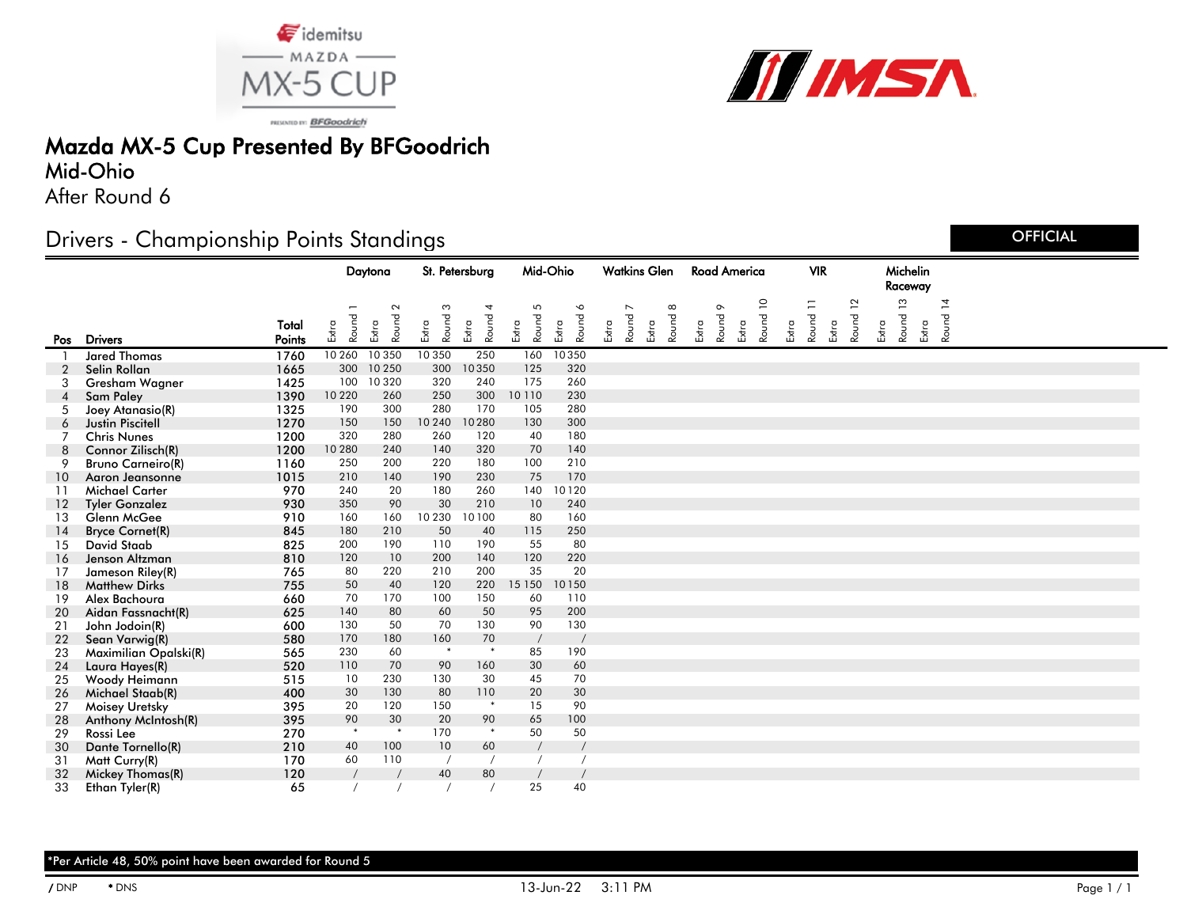



PRISONTIO IN: BFGoodrich

## Mazda MX-5 Cup Presented By BFGoodrich

#### Mid-Ohio

After Round 6

## Drivers - Championship Points Standings

Daytona St. Petersburg Mid-Ohio Watkins Glen Road America VIR Michelin Raceway Road America **Total** Pos Drivers **Points** Extra Round Extra **Round** Extra Round 3 Extra Round Extra Round 5 Extra Round 6 Extra Round 7 Extra Round Extra Round 9 Extra Round 10 Extra Round 11 Extra Round 12 Extra Round 13 Extra Round 14 1 **Jared Thomas** 1760 10 260 10 350 10 350 250 160 10 350<br>1665 300 10 250 300 10 350 125 320 2 Selin Rollan 1665 300 10 250 300 10 350 125 320 3 Gresham Wagner 1425 100 10 320 320 240 175 260 4 Sam Paley 1390 10 220 260 250 300 10 110 230 5 Joey Atanasio(R) 1325 190 300 280 170 105 280 6 Justin Piscitell 1270 150 150 10 240 10 280 130 300 7 Chris Nunes 1200 320 280 260 120 40 180 8 Connor Zilisch(R) 1200 10 280 240 140 320 70 140 9 Bruno Carneiro(R) 1160 250 200 220 180 100 210 10 Aaron Jeansonne 1015 210 140 190 230 75 170 11 Michael Carter 970 240 20 180 260 140 10 120 12 Tyler Gonzalez 930 350 90 30 210 10 240 13 Glenn McGee 910 160 160 10 230 10 100 80 160 14 Bryce Cornet(R) 845 180 210 50 40 115 250 15 David Staab 825 200 190 110 190 55 80 16 Jenson Altzman 810 120 10 200 140 120 220 17 Jameson Riley(R) 765 80 220 210 200 35 20 18 Matthew Dirks 755 50 40 120 220 15 150 10 150 19 Alex Bachoura 660 70 170 100 150 60 110 20 Aidan Fassnacht(R) 625 140 80 60 50 95 200 21 John Jodoin(R) 600 130 50 70 130<br>22 Sean-Varwia(R) 580 170 180 160 70 22 Sean Varwig(R) 580 170 180 160 70 / / 23 Maximilian Opalski(R) 565 230 60 \* \* 85 190 24 Laura Hayes(R) 520 110 70 90 160 30 60 25 Woody Heimann 515 10 230 130 30 45 70 26 Michael Staab(R) 400 30 130 80 110 20 30 27 Moisey Uretsky 395 20 120 150 \* 15 90 28 Anthony McIntosh(R) 395 90 30 20 90 65 100 29 Rossi Lee 270 \* \* 170 \* 50 50 30 Dante Tornello(R) 210 40 100 10 60 / /<br>31 Matt Curry (R) 210 60 110 / / / / 31 Matt Curry(R) 170 60 110 / / / /<br>32 Mickey Thomas (R) 120 / / 40 80 / / 32 Mickey Thomas(R) 120 / / 40 80 / /<br>33 Fibra Tyler(R) 65 / / / / 25 40 33 Ethan Tyler(R) 65 /

**OFFICIAL**